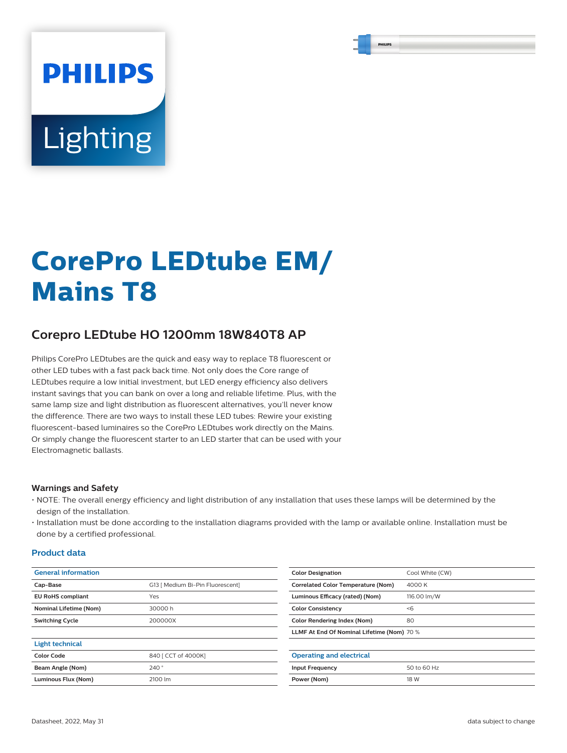# **PHILIPS Lighting**

# **CorePro LEDtube EM/ Mains T8**

# **Corepro LEDtube HO 1200mm 18W840T8 AP**

Philips CorePro LEDtubes are the quick and easy way to replace T8 fluorescent or other LED tubes with a fast pack back time. Not only does the Core range of LEDtubes require a low initial investment, but LED energy efficiency also delivers instant savings that you can bank on over a long and reliable lifetime. Plus, with the same lamp size and light distribution as fluorescent alternatives, you'll never know the difference. There are two ways to install these LED tubes: Rewire your existing fluorescent-based luminaires so the CorePro LEDtubes work directly on the Mains. Or simply change the fluorescent starter to an LED starter that can be used with your Electromagnetic ballasts.

#### **Warnings and Safety**

- NOTE: The overall energy efficiency and light distribution of any installation that uses these lamps will be determined by the design of the installation.
- Installation must be done according to the installation diagrams provided with the lamp or available online. Installation must be done by a certified professional.

#### **Product data**

| <b>General information</b>    |                                  | <b>Color Designation</b>                   | Cool White (CW) |  |
|-------------------------------|----------------------------------|--------------------------------------------|-----------------|--|
| Cap-Base                      | G13   Medium Bi-Pin Fluorescent] | <b>Correlated Color Temperature (Nom)</b>  | 4000 K          |  |
| <b>EU RoHS compliant</b>      | Yes                              | Luminous Efficacy (rated) (Nom)            | 116.00 lm/W     |  |
| <b>Nominal Lifetime (Nom)</b> | 30000h                           | <b>Color Consistency</b>                   | < 6             |  |
| <b>Switching Cycle</b>        | 200000X                          | <b>Color Rendering Index (Nom)</b>         | 80              |  |
|                               |                                  | LLMF At End Of Nominal Lifetime (Nom) 70 % |                 |  |
| <b>Light technical</b>        |                                  |                                            |                 |  |
| <b>Color Code</b>             | 840 [ CCT of 4000K]              | <b>Operating and electrical</b>            |                 |  |
| Beam Angle (Nom)              | 240°                             | <b>Input Frequency</b>                     | 50 to 60 Hz     |  |
| Luminous Flux (Nom)           | 2100 lm                          | Power (Nom)                                | 18 W            |  |
|                               |                                  |                                            |                 |  |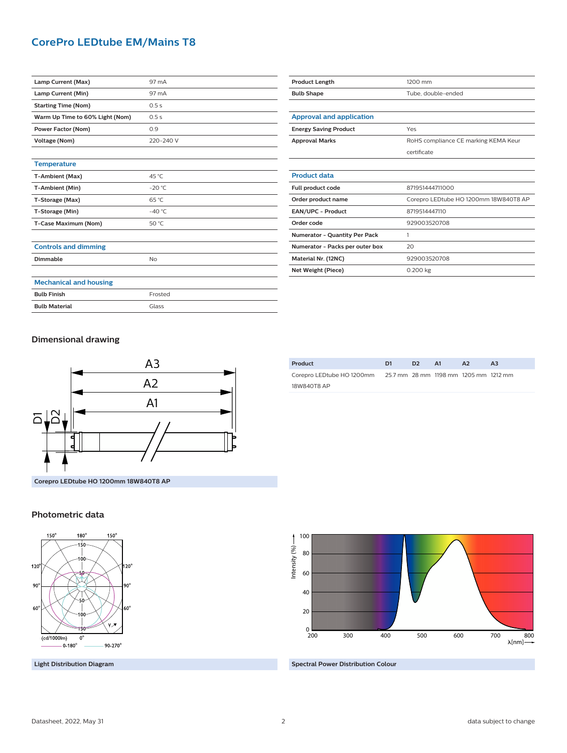### **CorePro LEDtube EM/Mains T8**

| Lamp Current (Max)              | 97 mA           |
|---------------------------------|-----------------|
| Lamp Current (Min)              | 97 mA           |
| <b>Starting Time (Nom)</b>      | 0.5s            |
| Warm Up Time to 60% Light (Nom) | 0.5s            |
| Power Factor (Nom)              | 0.9             |
| <b>Voltage (Nom)</b>            | 220-240 V       |
|                                 |                 |
| <b>Temperature</b>              |                 |
| T-Ambient (Max)                 | 45 °C           |
| T-Ambient (Min)                 | $-20 °C$        |
| T-Storage (Max)                 | 65 °C           |
| T-Storage (Min)                 | $-40^{\circ}$ C |
| T-Case Maximum (Nom)            | 50 °C           |
|                                 |                 |
| <b>Controls and dimming</b>     |                 |
| Dimmable                        | No              |
|                                 |                 |
| <b>Mechanical and housing</b>   |                 |
| <b>Bulb Finish</b>              | Frosted         |

| <b>Product Length</b>           | 1200 mm                               |  |  |  |
|---------------------------------|---------------------------------------|--|--|--|
| <b>Bulb Shape</b>               | Tube, double-ended                    |  |  |  |
|                                 |                                       |  |  |  |
| <b>Approval and application</b> |                                       |  |  |  |
| <b>Energy Saving Product</b>    | Yes                                   |  |  |  |
| <b>Approval Marks</b>           | RoHS compliance CE marking KEMA Keur  |  |  |  |
|                                 | certificate                           |  |  |  |
|                                 |                                       |  |  |  |
| <b>Product data</b>             |                                       |  |  |  |
| Full product code               | 871951444711000                       |  |  |  |
| Order product name              | Corepro LEDtube HO 1200mm 18W840T8 AP |  |  |  |
| EAN/UPC - Product               | 8719514447110                         |  |  |  |
| Order code                      | 929003520708                          |  |  |  |
| Numerator - Quantity Per Pack   | 1                                     |  |  |  |
| Numerator - Packs per outer box | 20                                    |  |  |  |
| Material Nr. (12NC)             | 929003520708                          |  |  |  |
| Net Weight (Piece)              | 0.200 kg                              |  |  |  |

**Dimensional drawing**

**Bulb Material** Glass



| Product                                                         | D1 | D <sub>2</sub> | - A1 | A2 | A <sub>3</sub> |
|-----------------------------------------------------------------|----|----------------|------|----|----------------|
| Corepro LEDtube HO 1200mm 25.7 mm 28 mm 1198 mm 1205 mm 1212 mm |    |                |      |    |                |
| 18W840T8 AP                                                     |    |                |      |    |                |





**Light Distribution Diagram**



**Spectral Power Distribution Colour**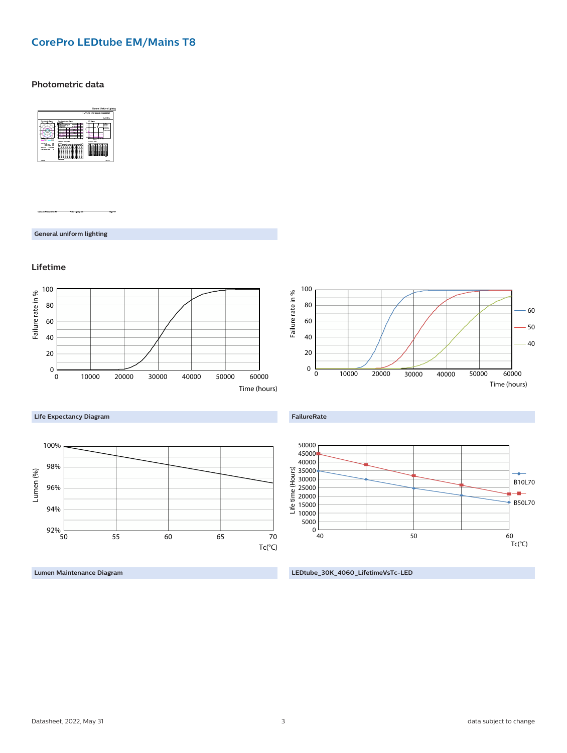# **CorePro LEDtube EM/Mains T8**

#### **Photometric data**



**General uniform lighting**

#### **Lifetime**



**Lumen Maintenance Diagram**

**LEDtube\_30K\_4060\_LifetimeVsTc-LED**